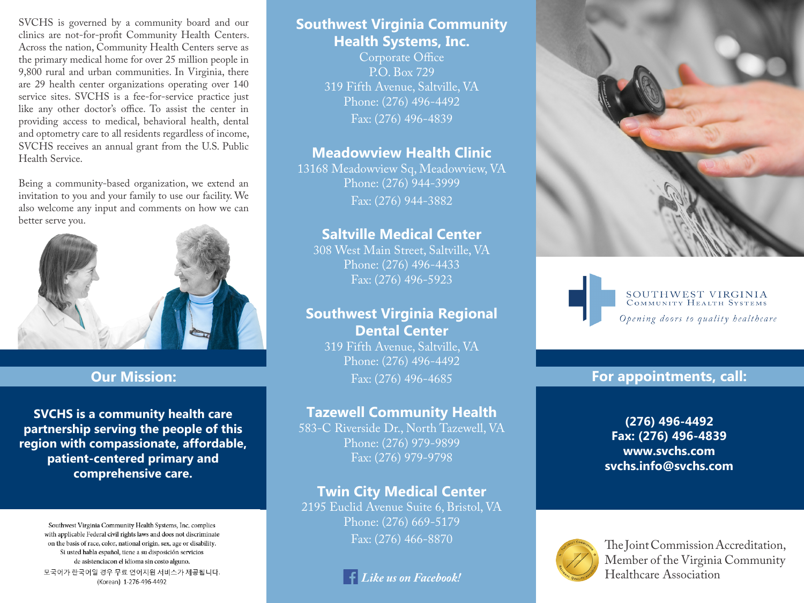SVCHS is governed by a community board and our clinics are not-for-profit Community Health Centers. Across the nation, Community Health Centers serve as the primary medical home for over 25 million people in 9,800 rural and urban communities. In Virginia, there are 29 health center organizations operating over 140 service sites. SVCHS is a fee-for-service practice just like any other doctor's office. To assist the center in providing access to medical, behavioral health, dental and optometry care to all residents regardless of income, SVCHS receives an annual grant from the U.S. Public Health Service.

Being a community-based organization, we extend an invitation to you and your family to use our facility. We also welcome any input and comments on how we can better serve you.



## **Our Mission:**

**SVCHS is a community health care partnership serving the people of this region with compassionate, affordable, patient-centered primary and comprehensive care.**

> Southwest Virginia Community Health Systems, Inc. complies with applicable Federal civil rights laws and does not discriminate on the basis of race, color, national origin, sex, age or disability. Si usted habla español, tiene a su disposición servicios de asistenciacon el idioma sin costo alguno. 모국어가 한국어일 경우 무료 언어지원 서비스가 제공됩니다. (Korean) 1-276-496-4492

# **Southwest Virginia Community Health Systems, Inc.**

Corporate Office P.O. Box 729 319 Fifth Avenue, Saltville, VA Phone: (276) 496-4492 Fax: (276) 496-4839

## **Meadowview Health Clinic**

13168 Meadowview Sq, Meadowview, VA Phone: (276) 944-3999 Fax: (276) 944-3882

# **Saltville Medical Center**

308 West Main Street, Saltville, VA Phone: (276) 496-4433 Fax: (276) 496-5923

# **Southwest Virginia Regional Dental Center**

319 Fifth Avenue, Saltville, VA Phone: (276) 496-4492 Fax: (276) 496-4685

# **Tazewell Community Health**

583-C Riverside Dr., North Tazewell, VA Phone: (276) 979-9899 Fax: (276) 979-9798

# **Twin City Medical Center**

2195 Euclid Avenue Suite 6, Bristol, VA Phone: (276) 669-5179







### **For appointments, call:**

**(276) 496-4492 Fax: (276) 496-4839 www.svchs.com svchs.info@svchs.com**



Fax: (276) 466-8870 Member of the Virginia Community Healthcare Association